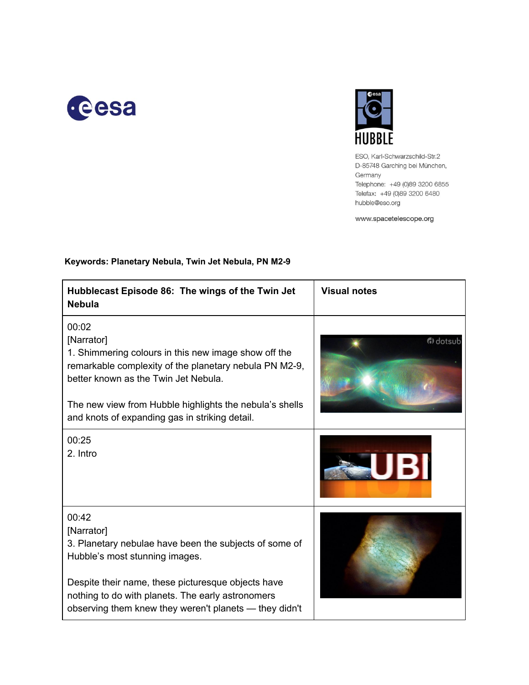



ESO, Karl-Schwarzschild-Str.2 D-85748 Garching bei München, Germany Telephone: +49 (0)89 3200 6855 Telefax: +49 (0)89 3200 6480 hubble@eso.org

www.spacetelescope.org

| Hubblecast Episode 86: The wings of the Twin Jet<br><b>Nebula</b>                                                                                                                                                                                                                          | <b>Visual notes</b> |
|--------------------------------------------------------------------------------------------------------------------------------------------------------------------------------------------------------------------------------------------------------------------------------------------|---------------------|
| 00:02<br>[Narrator]<br>1. Shimmering colours in this new image show off the<br>remarkable complexity of the planetary nebula PN M2-9,<br>better known as the Twin Jet Nebula.<br>The new view from Hubble highlights the nebula's shells<br>and knots of expanding gas in striking detail. | d) dotsub           |
| 00:25<br>2. Intro                                                                                                                                                                                                                                                                          | UBI                 |
| 00:42<br>[Narrator]<br>3. Planetary nebulae have been the subjects of some of<br>Hubble's most stunning images.<br>Despite their name, these picturesque objects have<br>nothing to do with planets. The early astronomers<br>observing them knew they weren't planets — they didn't       |                     |

#### **Keywords: Planetary Nebula, Twin Jet Nebula, PN M29**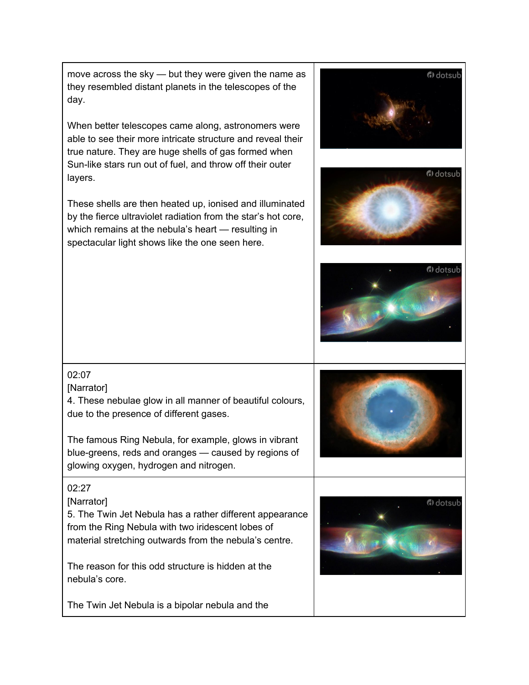move across the sky — but they were given the name as they resembled distant planets in the telescopes of the day.

When better telescopes came along, astronomers were able to see their more intricate structure and reveal their true nature. They are huge shells of gas formed when Sun-like stars run out of fuel, and throw off their outer layers.

These shells are then heated up, ionised and illuminated by the fierce ultraviolet radiation from the star's hot core, which remains at the nebula's heart — resulting in spectacular light shows like the one seen here.



# 02:07

### [Narrator]

4. These nebulae glow in all manner of beautiful colours, due to the presence of different gases.

The famous Ring Nebula, for example, glows in vibrant blue-greens, reds and oranges — caused by regions of glowing oxygen, hydrogen and nitrogen.

## 02:27

### [Narrator]

5. The Twin Jet Nebula has a rather different appearance from the Ring Nebula with two iridescent lobes of material stretching outwards from the nebula's centre.

The reason for this odd structure is hidden at the nebula's core.

The Twin Jet Nebula is a bipolar nebula and the



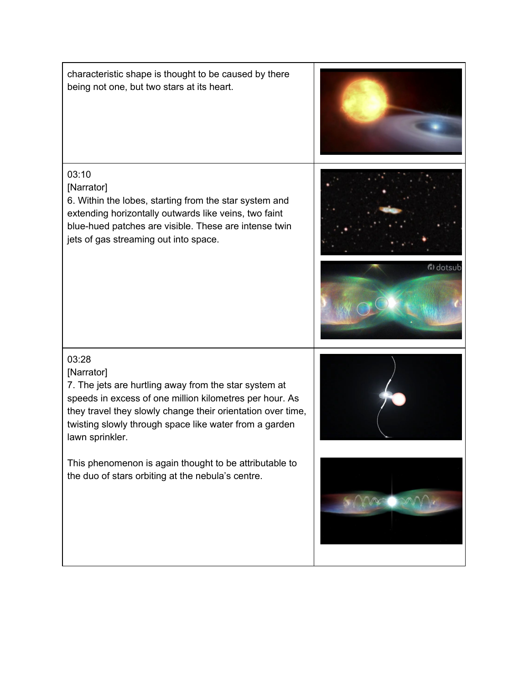